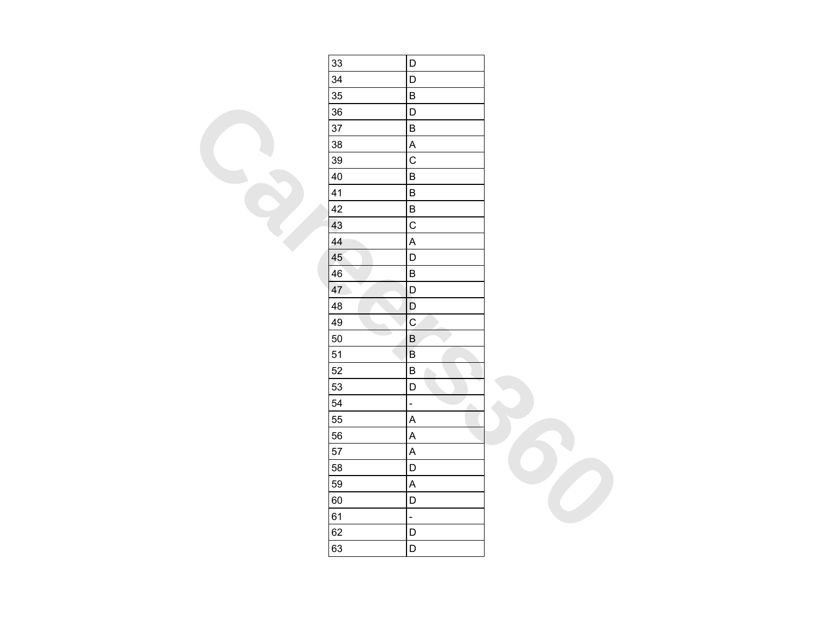| 33 | D                          |  |
|----|----------------------------|--|
| 34 | $\mathsf D$                |  |
| 35 | $\sf B$                    |  |
| 36 | D                          |  |
| 37 | $\sf B$                    |  |
| 38 | $\boldsymbol{\mathsf{A}}$  |  |
| 39 | $\overline{C}$             |  |
| 40 | $\sf B$                    |  |
| 41 | $\sf B$                    |  |
| 42 | $\sf B$                    |  |
| 43 | $\mathsf C$                |  |
| 44 | $\overline{\mathsf{A}}$    |  |
| 45 | $\mathsf D$                |  |
| 46 | $\sf B$                    |  |
| 47 | D                          |  |
| 48 | $\mathsf D$                |  |
| 49 | $\overline{c}$             |  |
| 50 | $\overline{B}$             |  |
| 51 | $\mathsf B$                |  |
| 52 | $\sf B$                    |  |
| 53 | $\mathsf D$                |  |
| 54 | $\frac{1}{\sqrt{2}}$<br>A. |  |
| 55 | $\boldsymbol{\mathsf{A}}$  |  |
| 56 | $\mathsf{A}$               |  |
| 57 | $\boldsymbol{\mathsf{A}}$  |  |
| 58 | $\mathsf D$                |  |
| 59 | $\mathsf{A}$               |  |
| 60 | D                          |  |
| 61 | ÷,                         |  |
| 62 | D                          |  |
| 63 | $\mathsf D$                |  |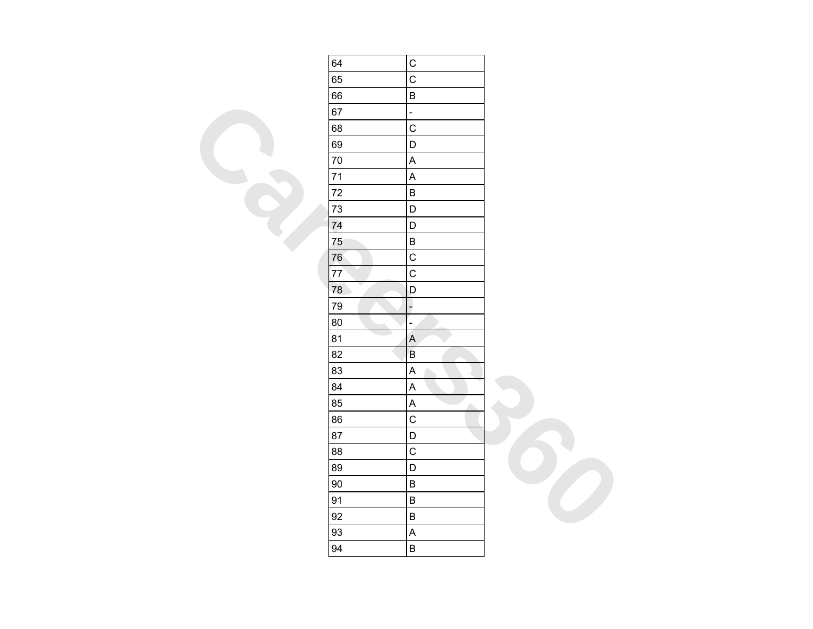| 64     | $\mathsf C$               |  |
|--------|---------------------------|--|
| 65     | $\overline{C}$            |  |
| 66     | $\sf B$                   |  |
| 67     | $\overline{a}$            |  |
| 68     | $\mathsf{C}$              |  |
| 69     | $\mathsf D$               |  |
| 70     | $\sf A$                   |  |
| $71$   | $\boldsymbol{\mathsf{A}}$ |  |
| $72\,$ | $\sf B$                   |  |
| 73     | D                         |  |
| 74     | D                         |  |
| 75     | $\sf B$                   |  |
| 76     | $\mathsf C$               |  |
| 77     | $\mathsf C$               |  |
| 78     | D                         |  |
| 79     | $\overline{z}$            |  |
| 80     | Ξ                         |  |
| 81     | $\boldsymbol{\mathsf{A}}$ |  |
| 82     | $\sf B$                   |  |
| 83     | $\boldsymbol{\mathsf{A}}$ |  |
| 84     | $\mathsf A$               |  |
| 85     | $\sf A$<br>Δ              |  |
| 86     | $\mathsf C$               |  |
| 87     | D                         |  |
| 88     | $\mathsf C$               |  |
| 89     | D                         |  |
| $90\,$ | $\sf B$                   |  |
| 91     | $\sf B$                   |  |
| 92     | $\sf B$                   |  |
| 93     | $\boldsymbol{\mathsf{A}}$ |  |
| 94     | $\sf B$                   |  |
|        |                           |  |